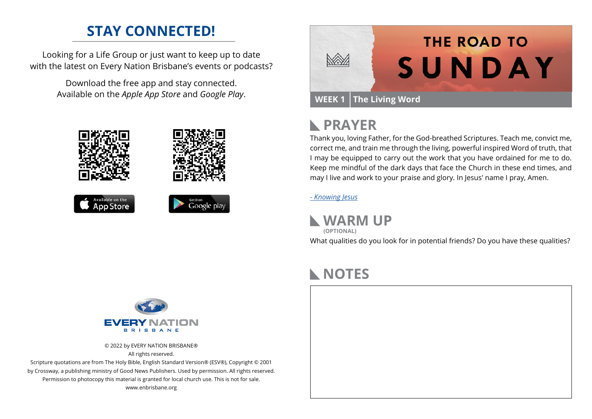### **STAY CONNECTED!**

Looking for a Life Group or just want to keep up to date with the latest on Every Nation Brisbane's events or podcasts?

> Download the free app and stay connected. Available on the *Apple App Store* and *Google Play*.





```
Available on the
App Store
```


|                               | <b>THE ROAD TO</b> |
|-------------------------------|--------------------|
|                               | SUNDAY             |
|                               |                    |
| <b>WEEK 1 The Living Word</b> |                    |

## **RAYER**

Thank you, loving Father, for the God-breathed Scriptures. Teach me, convict me, correct me, and train me through the living, powerful inspired Word of truth, that I may be equipped to carry out the work that you have ordained for me to do. Keep me mindful of the dark days that face the Church in these end times, and may I live and work to your praise and glory. In Jesus' name I pray, Amen.

#### *[- K](https://prayer.knowing-jesus.com/2-Timothy/3)nowing Jesus*

**WARM UP (OPTIONAL)**

What qualities do you look for in potential friends? Do you have these qualities?

# **NOTES**





© 2022 by EVERY NATION BRISBANE® All rights reserved.

Scripture quotations are from The Holy Bible, English Standard Version® (ESV®), Copyright © 2001 by Crossway, a publishing ministry of Good News Publishers. Used by permission. All rights reserved. Permission to photocopy this material is granted for local church use. This is not for sale. www.enbrisbane.org